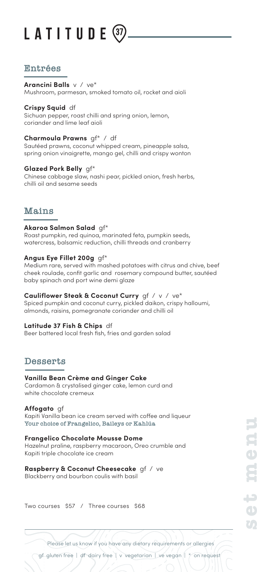# LATITUDE

## **Entrées**

#### **Arancini Balls** v / ve\*

Mushroom, parmesan, smoked tomato oil, rocket and aioli

#### **Crispy Squid** df

Sichuan pepper, roast chilli and spring onion, lemon, coriander and lime leaf aioli

### **Charmoula Prawns** gf\* / df

Sautéed prawns, coconut whipped cream, pineapple salsa, spring onion vinaigrette, mango gel, chilli and crispy wonton

### **Glazed Pork Belly** gf\*

Chinese cabbage slaw, nashi pear, pickled onion, fresh herbs, chilli oil and sesame seeds

## **Mains**

#### **Akaroa Salmon Salad** gf\*

Roast pumpkin, red quinoa, marinated feta, pumpkin seeds, watercress, balsamic reduction, chilli threads and cranberry

## **Angus Eye Fillet 200g** gf\*

Medium rare, served with mashed potatoes with citrus and chive, beef cheek roulade, confit garlic and rosemary compound butter, sautéed baby spinach and port wine demi glaze

#### **Cauliflower Steak & Coconut Curry** gf / v / ve\*

Spiced pumpkin and coconut curry, pickled daikon, crispy halloumi, almonds, raisins, pomegranate coriander and chilli oil

#### **Latitude 37 Fish & Chips** df

Beer battered local fresh fish, fries and garden salad

## **Desserts**

## **Vanilla Bean Crème and Ginger Cake**

Cardamon & crystalised ginger cake, lemon curd and white chocolate cremeux

## **Affogato** gf

Kapiti Vanilla bean ice cream served with coffee and liqueur **Your choice of Frangelico, Baileys or Kahlúa**

#### **Frangelico Chocolate Mousse Dome**

Hazelnut praline, raspberry macaroon, Oreo crumble and Kapiti triple chocolate ice cream

## **Raspberry & Coconut Cheesecake** gf / ve

Blackberry and bourbon coulis with basil

Two courses \$57 / Three courses \$68

**set menu**

Please let us know if you have any dietary requirements or allergies

gf gluten free | df dairy free | v vegetarian | ve vegan | \* on request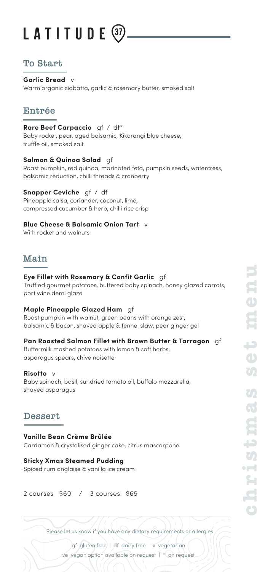# LATITUDE

# **To Start**

**Garlic Bread** v Warm organic ciabatta, garlic & rosemary butter, smoked salt

# **Entrée**

**Rare Beef Carpaccio** gf / df\* Baby rocket, pear, aged balsamic, Kikorangi blue cheese, truffle oil, smoked salt

**Salmon & Quinoa Salad** gf Roast pumpkin, red quinoa, marinated feta, pumpkin seeds, watercress, balsamic reduction, chilli threads & cranberry

## **Snapper Ceviche** gf / df

Pineapple salsa, coriander, coconut, lime, compressed cucumber & herb, chilli rice crisp

## **Blue Cheese & Balsamic Onion Tart** v

With rocket and walnuts

## **Main**

## **Eye Fillet with Rosemary & Confit Garlic** gf

Truffled gourmet potatoes, buttered baby spinach, honey glazed carrots, port wine demi glaze

## **Maple Pineapple Glazed Ham** gf

Roast pumpkin with walnut, green beans with orange zest, balsamic & bacon, shaved apple & fennel slaw, pear ginger gel

## **Pan Roasted Salmon Fillet with Brown Butter & Tarragon** gf

Buttermilk mashed potatoes with lemon & soft herbs, asparagus spears, chive noisette

## **Risotto**

Baby spinach, basil, sundried tomato oil, buffalo mozzarella, shaved asparagus

# **Dessert**

## **Vanilla Bean Crème Brûlée**

Cardamon & crystalised ginger cake, citrus mascarpone

## **Sticky Xmas Steamed Pudding**

Spiced rum anglaise & vanilla ice cream

## 2 courses \$60 / 3 courses \$69

Please let us know if you have any dietary requirements or allergies

gf gluten free | df dairy free | v vegetarian ve vegan option available on request | \* on request